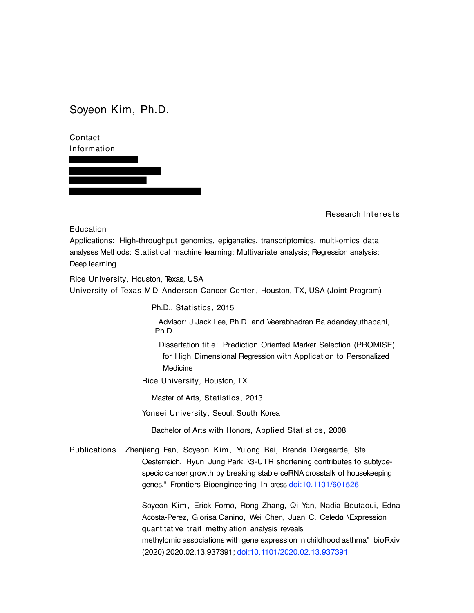Soyeon Kim, Ph.D.

Contact Information

Research Interests

Education

Applications: High-throughput genomics, epigenetics, transcriptomics, multi-omics data analyses Methods: Statistical machine learning; Multivariate analysis; Regression analysis; Deep learning

Rice University, Houston, Texas, USA University of Texas M D Anderson Cancer Center , Houston, TX, USA (Joint Program)

Ph.D., Statistics, 2015

Advisor: J.Jack Lee, Ph.D. and Veerabhadran Baladandayuthapani, Ph.D.

Dissertation title: Prediction Oriented Marker Selection (PROMISE) for High Dimensional Regression with Application to Personalized Medicine

Rice University, Houston, TX

Master of Arts, Statistics, 2013

Yonsei University, Seoul, South Korea

Bachelor of Arts with Honors, Applied Statistics, 2008

Publications Zhenjiang Fan, Soyeon Kim, Yulong Bai, Brenda Diergaarde, Ste Oesterreich, Hyun Jung Park, \3-UTR shortening contributes to subtypespecic cancer growth by breaking stable ceRNA crosstalk of housekeeping genes." Frontiers Bioengineering In press doi:10.1101/601526

> Soyeon Kim , Erick Forno, Rong Zhang, Qi Yan, Nadia Boutaoui, Edna Acosta-Perez, Glorisa Canino, Wei Chen, Juan C. Celedo \Expression quantitative trait methylation analysis reveals methylomic associations with gene expression in childhood asthma" bioRxiv (2020) 2020.02.13.937391; doi:10.1101/2020.02.13.937391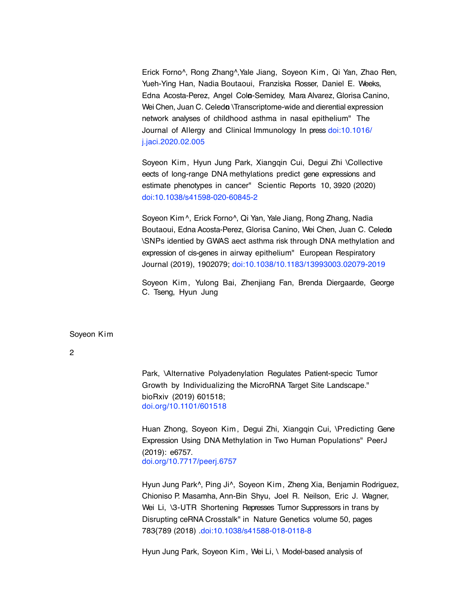Erick Forno^, Rong Zhang^,Yale Jiang, Soyeon Kim, Qi Yan, Zhao Ren, Yueh-Ying Han, Nadia Boutaoui, Franziska Rosser, Daniel E. Weeks, Edna Acosta-Perez, Angel Cola-Semidey, Mara Alvarez, Glorisa Canino, Wei Chen, Juan C. Celedo \Transcriptome-wide and dierential expression network analyses of childhood asthma in nasal epithelium" The Journal of Allergy and Clinical Immunology In press doi:10.1016/ j.jaci.2020.02.005

Soyeon Kim, Hyun Jung Park, Xiangqin Cui, Degui Zhi \Collective eects of long-range DNA methylations predict gene expressions and estimate phenotypes in cancer" Scientic Reports 10, 3920 (2020) doi:10.1038/s41598-020-60845-2

Soyeon Kim^, Erick Forno^, Qi Yan, Yale Jiang, Rong Zhang, Nadia Boutaoui, Edna Acosta-Perez, Glorisa Canino, Wei Chen, Juan C. Celeda \SNPs identied by GWAS aect asthma risk through DNA methylation and expression of cis-genes in airway epithelium" European Respiratory Journal (2019), 1902079; doi:10.1038/10.1183/13993003.02079-2019

Soyeon Kim, Yulong Bai, Zhenjiang Fan, Brenda Diergaarde, George C. Tseng, Hyun Jung

Soyeon Kim

2

Park, \Alternative Polyadenylation Regulates Patient-specic Tumor Growth by Individualizing the MicroRNA Target Site Landscape." bioRxiv (2019) 601518; doi.org/10.1101/601518

Huan Zhong, Soyeon Kim , Degui Zhi, Xiangqin Cui, \Predicting Gene Expression Using DNA Methylation in Two Human Populations" PeerJ (2019): e6757. doi.org/10.7717/peerj.6757

Hyun Jung Park^, Ping Ji^, Soyeon Kim , Zheng Xia, Benjamin Rodriguez, Chioniso P. Masamha, Ann-Bin Shyu, Joel R. Neilson, Eric J. Wagner, Wei Li, \3-UTR Shortening Represses Tumor Suppressors in trans by Disrupting ceRNA Crosstalk" in Nature Genetics volume 50, pages 783{789 (2018) .doi:10.1038/s41588-018-0118-8

Hyun Jung Park, Soyeon Kim, Wei Li, \ Model-based analysis of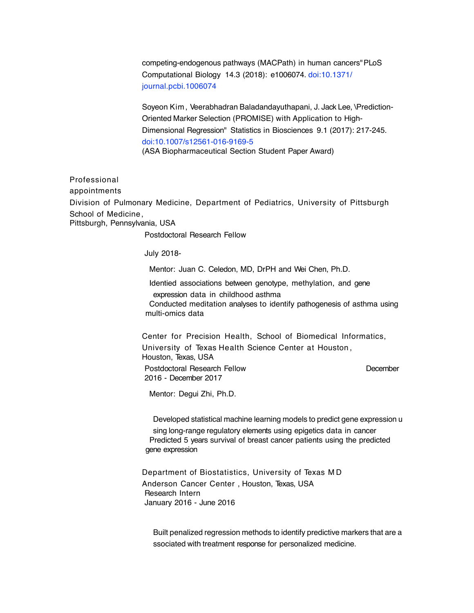competing-endogenous pathways (MACPath) in human cancers"PLoS Computational Biology 14.3 (2018): e1006074. doi:10.1371/ journal.pcbi.1006074

Soyeon Kim, Veerabhadran Baladandayuthapani, J. Jack Lee, \Prediction-Oriented Marker Selection (PROMISE) with Application to High-Dimensional Regression" Statistics in Biosciences 9.1 (2017): 217-245. doi:10.1007/s12561-016-9169-5 (ASA Biopharmaceutical Section Student Paper Award)

Professional appointments Division of Pulmonary Medicine, Department of Pediatrics, University of Pittsburgh School of Medicine, Pittsburgh, Pennsylvania, USA Postdoctoral Research Fellow

July 2018-

Mentor: Juan C. Celedon, MD, DrPH and Wei Chen, Ph.D.

Identied associations between genotype, methylation, and gene expression data in childhood asthma

 Conducted meditation analyses to identify pathogenesis of asthma using multi-omics data

Center for Precision Health, School of Biomedical Informatics, University of Texas Health Science Center at Houston , Houston, Texas, USA Postdoctoral Research Fellow December 2016 - December 2017

Mentor: Degui Zhi, Ph.D.

Developed statistical machine learning models to predict gene expression u

sing long-range regulatory elements using epigetics data in cancer Predicted 5 years survival of breast cancer patients using the predicted gene expression

Department of Biostatistics, University of Texas M D Anderson Cancer Center , Houston, Texas, USA Research Intern January 2016 - June 2016

Built penalized regression methods to identify predictive markers that are a ssociated with treatment response for personalized medicine.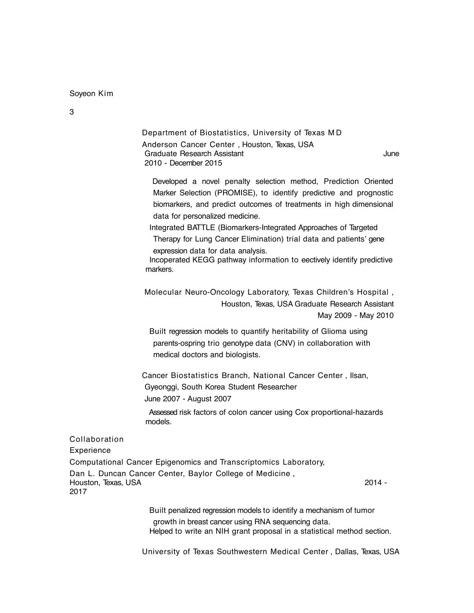Soyeon Kim

Department of Biostatistics, University of Texas M D Anderson Cancer Center , Houston, Texas, USA Graduate Research Assistant **June** 2010 - December 2015

Developed a novel penalty selection method, Prediction Oriented Marker Selection (PROMISE), to identify predictive and prognostic biomarkers, and predict outcomes of treatments in high dimensional data for personalized medicine.

 Integrated BATTLE (Biomarkers-Integrated Approaches of Targeted Therapy for Lung Cancer Elimination) trial data and patients' gene expression data for data analysis.

Incoperated KEGG pathway information to eectively identify predictive markers.

Molecular Neuro-Oncology Laboratory, Texas Children's Hospital , Houston, Texas, USA Graduate Research Assistant May 2009 - May 2010

Built regression models to quantify heritability of Glioma using parents-ospring trio genotype data (CNV) in collaboration with medical doctors and biologists.

Cancer Biostatistics Branch, National Cancer Center , Ilsan, Gyeonggi, South Korea Student Researcher June 2007 - August 2007

Assessed risk factors of colon cancer using Cox proportional-hazards models.

Collaboration

Experience

Computational Cancer Epigenomics and Transcriptomics Laboratory, Dan L. Duncan Cancer Center, Baylor College of Medicine , Houston, Texas, USA 2014 - 2017

> Built penalized regression models to identify a mechanism of tumor growth in breast cancer using RNA sequencing data. Helped to write an NIH grant proposal in a statistical method section.

University of Texas Southwestern Medical Center , Dallas, Texas, USA

3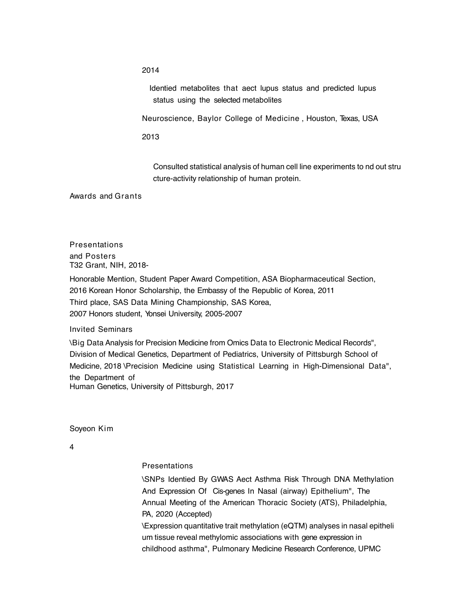2014

Identied metabolites that aect lupus status and predicted lupus status using the selected metabolites

Neuroscience, Baylor College of Medicine , Houston, Texas, USA

2013

Consulted statistical analysis of human cell line experiments to nd out stru cture-activity relationship of human protein.

Awards and Grants

**Presentations** and Posters T32 Grant, NIH, 2018-

Honorable Mention, Student Paper Award Competition, ASA Biopharmaceutical Section, 2016 Korean Honor Scholarship, the Embassy of the Republic of Korea, 2011 Third place, SAS Data Mining Championship, SAS Korea, 2007 Honors student, Yonsei University, 2005-2007

Invited Seminars

\Big Data Analysis for Precision Medicine from Omics Data to Electronic Medical Records", Division of Medical Genetics, Department of Pediatrics, University of Pittsburgh School of Medicine, 2018 \Precision Medicine using Statistical Learning in High-Dimensional Data", the Department of Human Genetics, University of Pittsburgh, 2017

Soyeon Kim

4

## **Presentations**

\SNPs Identied By GWAS Aect Asthma Risk Through DNA Methylation And Expression Of Cis-genes In Nasal (airway) Epithelium", The Annual Meeting of the American Thoracic Society (ATS), Philadelphia, PA, 2020 (Accepted) \Expression quantitative trait methylation (eQTM) analyses in nasal epitheli um tissue reveal methylomic associations with gene expression in childhood asthma", Pulmonary Medicine Research Conference, UPMC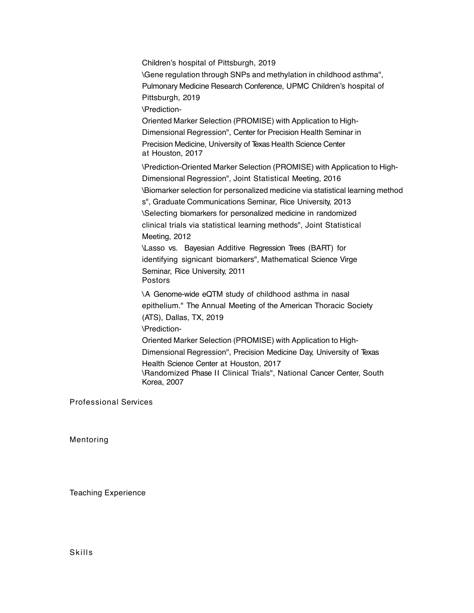Children's hospital of Pittsburgh, 2019 \Gene regulation through SNPs and methylation in childhood asthma", Pulmonary Medicine Research Conference, UPMC Children's hospital of Pittsburgh, 2019 \Prediction-Oriented Marker Selection (PROMISE) with Application to High-Dimensional Regression", Center for Precision Health Seminar in Precision Medicine, University of Texas Health Science Center at Houston, 2017 \Prediction-Oriented Marker Selection (PROMISE) with Application to High-Dimensional Regression", Joint Statistical Meeting, 2016 \Biomarker selection for personalized medicine via statistical learning method s", Graduate Communications Seminar, Rice University, 2013 \Selecting biomarkers for personalized medicine in randomized clinical trials via statistical learning methods", Joint Statistical Meeting, 2012 \Lasso vs. Bayesian Additive Regression Trees (BART) for identifying signicant biomarkers", Mathematical Science Virge Seminar, Rice University, 2011 Postors \A Genome-wide eQTM study of childhood asthma in nasal epithelium." The Annual Meeting of the American Thoracic Society (ATS), Dallas, TX, 2019 \Prediction-Oriented Marker Selection (PROMISE) with Application to High-Dimensional Regression", Precision Medicine Day, University of Texas Health Science Center at Houston, 2017 \Randomized Phase II Clinical Trials", National Cancer Center, South Korea, 2007

Professional Services

Mentoring

Teaching Experience